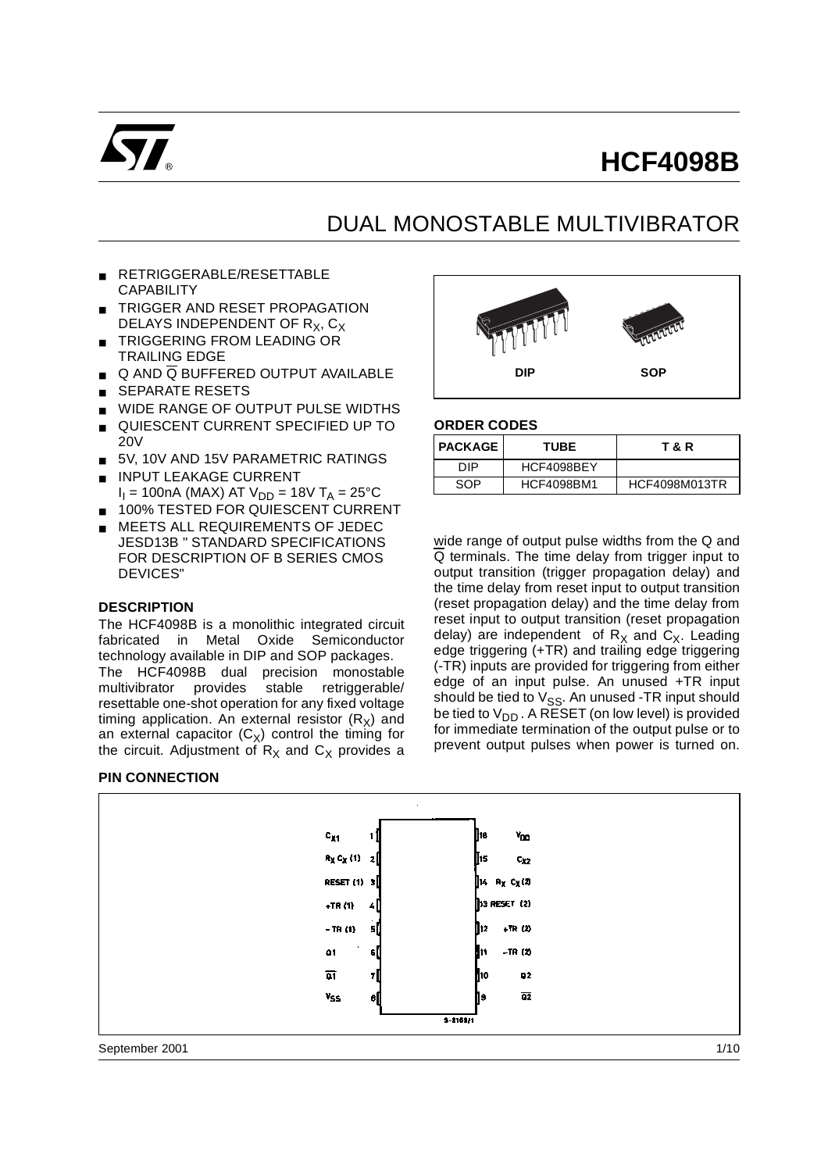

# **HCF4098B**

## DUAL MONOSTABLE MULTIVIBRATOR

- RETRIGGERABLE/RESETTABLE **CAPABILITY**
- **TRIGGER AND RESET PROPAGATION** DELAYS INDEPENDENT OF  $R_X, C_X$
- TRIGGERING FROM LEADING OR TRAILING EDGE
- $Q$  AND  $\overline{Q}$  BUFFERED OUTPUT AVAILABLE
- SEPARATE RESETS
- WIDE RANGE OF OUTPUT PULSE WIDTHS
- QUIESCENT CURRENT SPECIFIED UP TO 20V
- 5V, 10V AND 15V PARAMETRIC RATINGS
- **INPUT LEAKAGE CURRENT**
- I<sub>I</sub> = 100nA (MAX) AT V<sub>DD</sub> = 18V T<sub>A</sub> = 25°C 100% TESTED FOR QUIESCENT CURRENT
- **MEETS ALL REQUIREMENTS OF JEDEC**
- JESD13B " STANDARD SPECIFICATIONS FOR DESCRIPTION OF B SERIES CMOS DEVICES"

#### **DESCRIPTION**

The HCF4098B is a monolithic integrated circuit fabricated in Metal Oxide Semiconductor technology available in DIP and SOP packages. The HCF4098B dual precision monostable multivibrator provides stable retriggerable/ resettable one-shot operation for any fixed voltage timing application. An external resistor  $(R<sub>x</sub>)$  and an external capacitor  $(C_X)$  control the timing for the circuit. Adjustment of  $R_X$  and  $C_X$  provides a

#### **PIN CONNECTION**



#### **ORDER CODES**

| <b>PACKAGE</b> | <b>TUBE</b>       | T & R         |
|----------------|-------------------|---------------|
| חוח            | HCF4098BEY        |               |
| SOP            | <b>HCF4098BM1</b> | HCF4098M013TR |

wide range of output pulse widths from the Q and Q terminals. The time delay from trigger input to output transition (trigger propagation delay) and the time delay from reset input to output transition (reset propagation delay) and the time delay from reset input to output transition (reset propagation delay) are independent of  $R_X$  and  $C_X$ . Leading edge triggering (+TR) and trailing edge triggering (-TR) inputs are provided for triggering from either edge of an input pulse. An unused +TR input should be tied to  $V_{SS}$ . An unused -TR input should be tied to  $V_{DD}$ . A RESET (on low level) is provided for immediate termination of the output pulse or to prevent output pulses when power is turned on.



September 2001 1/10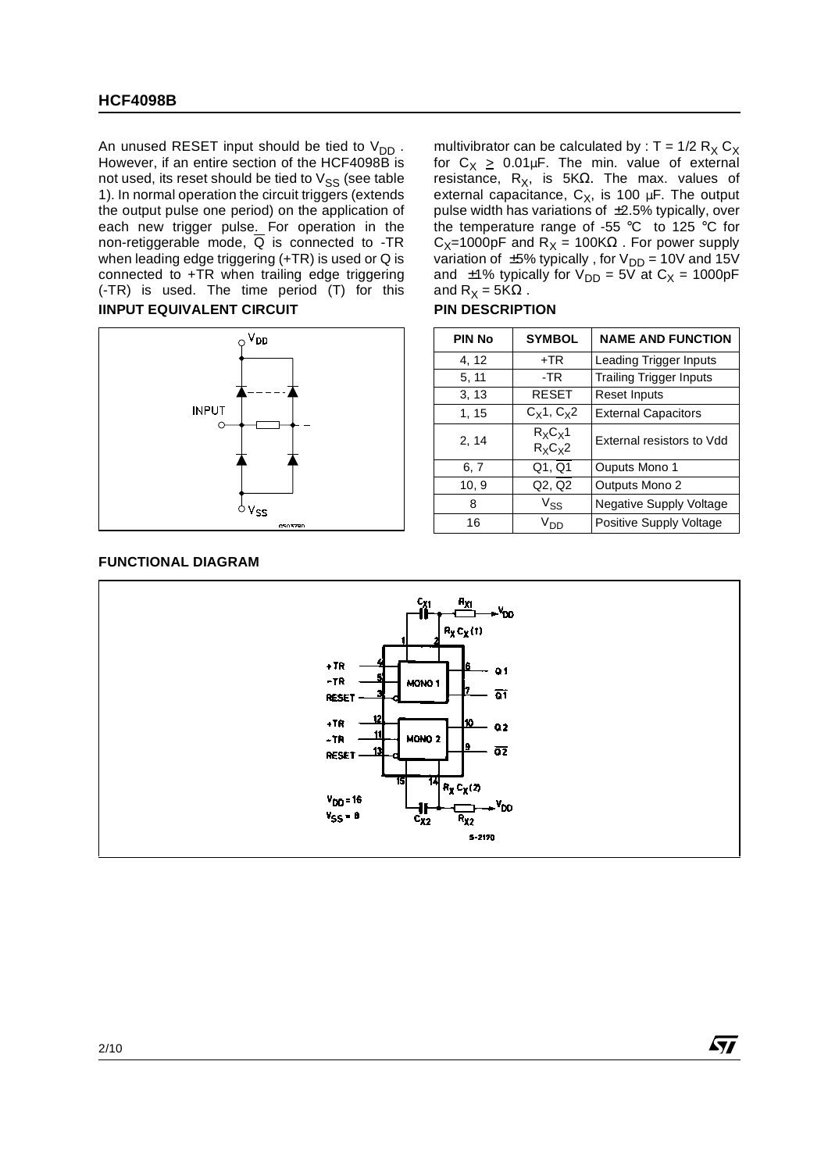An unused RESET input should be tied to  $V_{DD}$ . However, if an entire section of the HCF4098B is not used, its reset should be tied to  $V_{SS}$  (see table 1). In normal operation the circuit triggers (extends the output pulse one period) on the application of each new trigger pulse. For operation in the non-retiggerable mode,  $\overline{Q}$  is connected to -TR when leading edge triggering (+TR) is used or Q is connected to +TR when trailing edge triggering (-TR) is used. The time period (T) for this **IINPUT EQUIVALENT CIRCUIT PIN DESCRIPTION** 



multivibrator can be calculated by :  $T = 1/2$  R<sub>X</sub> C<sub>X</sub> for  $C_X \geq 0.01 \mu F$ . The min. value of external resistance, R<sub>X</sub>, is 5KΩ. The max. values of external capacitance,  $C_X$ , is 100  $\mu$ F. The output pulse width has variations of ±2.5% typically, over the temperature range of -55 °C to 125 °C for  $\text{C}_\text{X}\texttt{=}$ 1000pF and  $\text{R}_\text{X}$  = 100K $\Omega$  . For power supply variation of  $\pm 5\%$  typically , for  $\rm V_{DD}$  = 10V and 15V and  $\pm$ 1% typically for V<sub>DD</sub> = 5V at C<sub>X</sub> = 1000pF and  $R_X = 5K\Omega$ .

| <b>PIN No</b> | <b>SYMBOL</b>            | <b>NAME AND FUNCTION</b>       |
|---------------|--------------------------|--------------------------------|
| 4, 12         | $+TR$                    | Leading Trigger Inputs         |
| 5, 11         | -TR                      | <b>Trailing Trigger Inputs</b> |
| 3, 13         | <b>RESET</b>             | <b>Reset Inputs</b>            |
| 1, 15         | $C_X1, C_X2$             | <b>External Capacitors</b>     |
| 2, 14         | $R_X C_X 1$<br>$R_XC_X2$ | External resistors to Vdd      |
| 6, 7          | Q1, Q1                   | Ouputs Mono 1                  |
| 10, 9         | Q2, Q2                   | Outputs Mono 2                 |
| 8             | V <sub>SS</sub>          | <b>Negative Supply Voltage</b> |
| 16            | V <sub>DD</sub>          | Positive Supply Voltage        |

57

#### **FUNCTIONAL DIAGRAM**

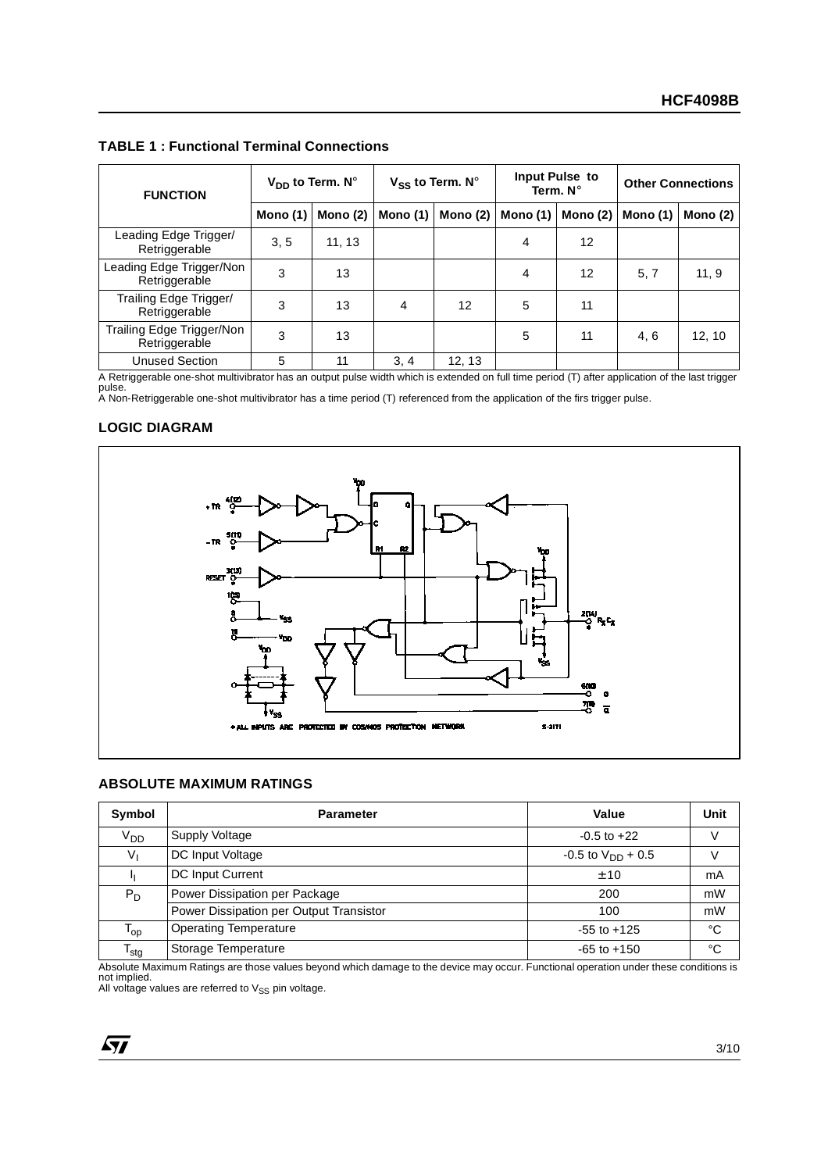| <b>FUNCTION</b>                            | $V_{DD}$ to Term. N° |            | $V_{SS}$ to Term. N° |            |          | Input Pulse to<br>Term. $N^{\circ}$ | <b>Other Connections</b> |            |  |
|--------------------------------------------|----------------------|------------|----------------------|------------|----------|-------------------------------------|--------------------------|------------|--|
|                                            | Mono (1)             | Mono $(2)$ | Mono (1)             | Mono $(2)$ | Mono (1) | Mono $(2)$                          | Mono (1)                 | Mono $(2)$ |  |
| Leading Edge Trigger/<br>Retriggerable     | 3, 5                 | 11, 13     |                      |            | 4        | 12                                  |                          |            |  |
| Leading Edge Trigger/Non<br>Retriggerable  | 3                    | 13         |                      |            | 4        | 12                                  | 5, 7                     | 11, 9      |  |
| Trailing Edge Trigger/<br>Retriggerable    | 3                    | 13         | 4                    | 12         | 5        | 11                                  |                          |            |  |
| Trailing Edge Trigger/Non<br>Retriggerable | 3                    | 13         |                      |            | 5        | 11                                  | 4, 6                     | 12, 10     |  |
| <b>Unused Section</b>                      | 5                    | 11         | 3, 4                 | 12, 13     |          |                                     |                          |            |  |

#### **TABLE 1 : Functional Terminal Connections**

A Retriggerable one-shot multivibrator has an output pulse width which is extended on full time period (T) after application of the last trigger<br>pulse.<br>A Non-Retriggerable one-shot multivibrator has a time period (T) refer

#### **LOGIC DIAGRAM**



#### **ABSOLUTE MAXIMUM RATINGS**

| Symbol                      | <b>Parameter</b>                        | Value                    | Unit        |
|-----------------------------|-----------------------------------------|--------------------------|-------------|
| V <sub>DD</sub>             | Supply Voltage                          | $-0.5$ to $+22$          | V           |
| Vı                          | DC Input Voltage                        | $-0.5$ to $V_{DD}$ + 0.5 |             |
|                             | <b>DC Input Current</b>                 | ± 10                     | mA          |
| $P_D$                       | Power Dissipation per Package           | 200                      | mW          |
|                             | Power Dissipation per Output Transistor | 100                      | mW          |
| $\mathsf{T}_{\mathsf{op}}$  | <b>Operating Temperature</b>            | $-55$ to $+125$          | °C          |
| $\mathsf{T}_{\textsf{stg}}$ | Storage Temperature                     | $-65$ to $+150$          | $^{\circ}C$ |

Absolute Maximum Ratings are those values beyond which damage to the device may occur. Functional operation under these conditions is<br>not implied.<br>All voltage values are referred to V<sub>SS</sub> pin voltage.

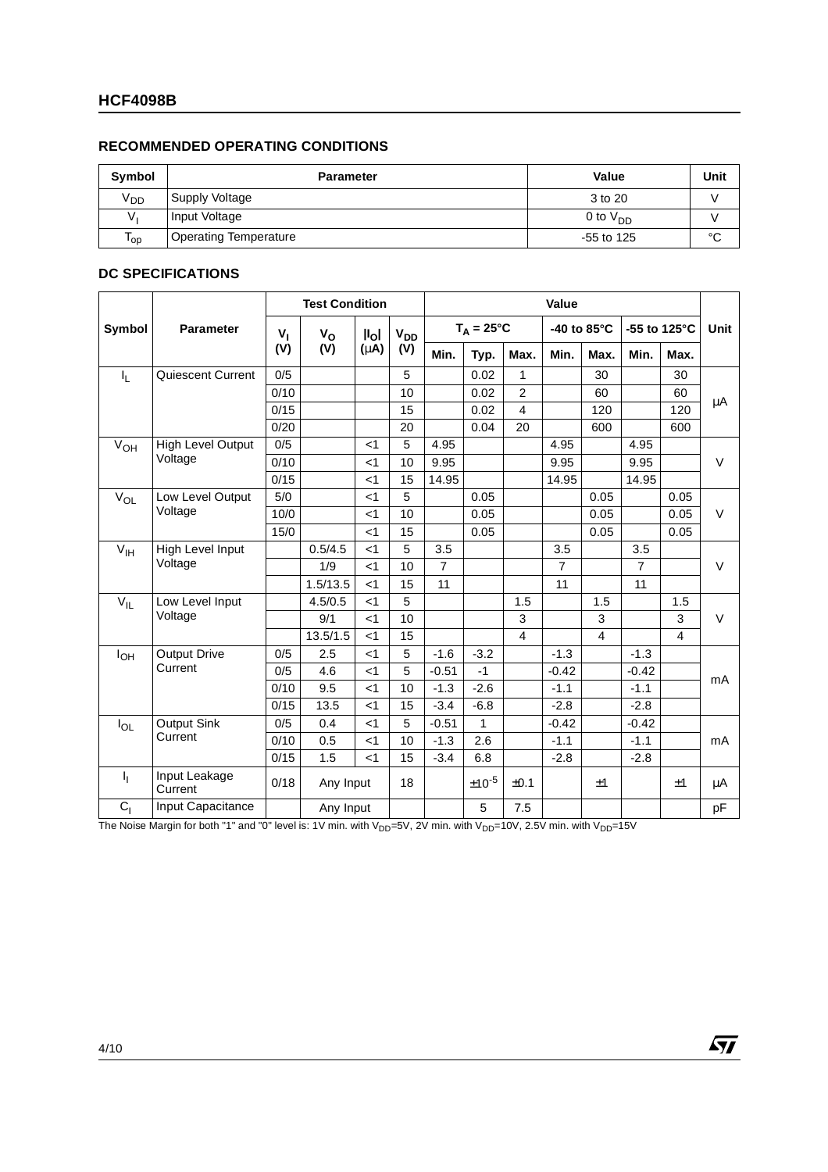### **HCF4098B**

#### **RECOMMENDED OPERATING CONDITIONS**

| Symbol          | <b>Parameter</b>             | Value         | Unit |
|-----------------|------------------------------|---------------|------|
| V <sub>DD</sub> | Supply Voltage               | 3 to 20       |      |
| V,              | Input Voltage                | 0 to $V_{DD}$ |      |
| 'op             | <b>Operating Temperature</b> | $-55$ to 125  | °C   |

#### **DC SPECIFICATIONS**

|                            |                          | <b>Test Condition</b><br>Value |             |                            |                 |                |                     |                         |         |                |                |      |        |
|----------------------------|--------------------------|--------------------------------|-------------|----------------------------|-----------------|----------------|---------------------|-------------------------|---------|----------------|----------------|------|--------|
| Symbol<br><b>Parameter</b> |                          | $V_{\parallel}$                | $V_{\rm O}$ | $\mathsf{II}_{\mathsf{O}}$ | V <sub>DD</sub> |                | $T_A = 25^{\circ}C$ |                         |         | -40 to 85°C    | -55 to 125°C   |      | Unit   |
|                            |                          | (V)                            | (V)         | $(\mu A)$                  | (V)             | Min.           | Typ.                | Max.                    | Min.    | Max.           | Min.           | Max. |        |
| $I_{\rm L}$                | Quiescent Current        | 0/5                            |             |                            | 5               |                | 0.02                | $\mathbf{1}$            |         | 30             |                | 30   |        |
|                            |                          | 0/10                           |             |                            | 10              |                | 0.02                | 2                       |         | 60             |                | 60   |        |
|                            |                          | 0/15                           |             |                            | 15              |                | 0.02                | $\overline{\mathbf{4}}$ |         | 120            |                | 120  | μA     |
|                            |                          | 0/20                           |             |                            | 20              |                | 0.04                | 20                      |         | 600            |                | 600  |        |
| $V_{OH}$                   | <b>High Level Output</b> | 0/5                            |             | $<$ 1                      | 5               | 4.95           |                     |                         | 4.95    |                | 4.95           |      |        |
|                            | Voltage                  | 0/10                           |             | $<$ 1                      | 10              | 9.95           |                     |                         | 9.95    |                | 9.95           |      | $\vee$ |
|                            |                          | 0/15                           |             | $<$ 1                      | 15              | 14.95          |                     |                         | 14.95   |                | 14.95          |      |        |
| $V_{OL}$                   | Low Level Output         | 5/0                            |             | $<$ 1                      | 5               |                | 0.05                |                         |         | 0.05           |                | 0.05 |        |
|                            | Voltage                  | 10/0                           |             | $<$ 1                      | 10              |                | 0.05                |                         |         | 0.05           |                | 0.05 | $\vee$ |
|                            |                          | 15/0                           |             | $<$ 1                      | 15              |                | 0.05                |                         |         | 0.05           |                | 0.05 |        |
| $V_{\text{IH}}$            | High Level Input         |                                | 0.5/4.5     | $<$ 1                      | 5               | 3.5            |                     |                         | 3.5     |                | 3.5            |      |        |
|                            | Voltage                  |                                | 1/9         | $<$ 1                      | 10              | $\overline{7}$ |                     |                         | 7       |                | $\overline{7}$ |      | $\vee$ |
|                            |                          |                                | 1.5/13.5    | $<$ 1                      | 15              | 11             |                     |                         | 11      |                | 11             |      |        |
| $V_{IL}$                   | Low Level Input          |                                | 4.5/0.5     | $<$ 1                      | 5               |                |                     | 1.5                     |         | 1.5            |                | 1.5  |        |
|                            | Voltage                  |                                | 9/1         | $<$ 1                      | 10              |                |                     | 3                       |         | 3              |                | 3    | $\vee$ |
|                            |                          |                                | 13.5/1.5    | $<$ 1                      | 15              |                |                     | 4                       |         | $\overline{4}$ |                | 4    |        |
| $I_{OH}$                   | <b>Output Drive</b>      | 0/5                            | 2.5         | $\leq$ 1                   | 5               | $-1.6$         | $-3.2$              |                         | $-1.3$  |                | $-1.3$         |      |        |
|                            | Current                  | 0/5                            | 4.6         | $<$ 1                      | 5               | $-0.51$        | $-1$                |                         | $-0.42$ |                | $-0.42$        |      | mA     |
|                            |                          | 0/10                           | 9.5         | $<$ 1                      | 10              | $-1.3$         | $-2.6$              |                         | $-1.1$  |                | $-1.1$         |      |        |
|                            |                          | 0/15                           | 13.5        | $\leq$ 1                   | 15              | $-3.4$         | $-6.8$              |                         | $-2.8$  |                | $-2.8$         |      |        |
| $I_{OL}$                   | <b>Output Sink</b>       | 0/5                            | 0.4         | $\leq$ 1                   | 5               | $-0.51$        | $\mathbf{1}$        |                         | $-0.42$ |                | $-0.42$        |      |        |
|                            | Current                  | 0/10                           | 0.5         | $\leq$ 1                   | 10              | $-1.3$         | 2.6                 |                         | $-1.1$  |                | $-1.1$         |      | mA     |
|                            |                          | 0/15                           | 1.5         | $<$ 1                      | 15              | $-3.4$         | 6.8                 |                         | $-2.8$  |                | $-2.8$         |      |        |
| h,                         | Input Leakage<br>Current | 0/18                           | Any Input   |                            | 18              |                | $\pm 10^{-5}$       | ±0.1                    |         | ±1             |                | ±1   | μA     |
| C <sub>1</sub>             | Input Capacitance        |                                | Any Input   |                            |                 |                | 5                   | 7.5                     |         |                |                |      | pF     |

The Noise Margin for both "1" and "0" level is: 1V min. with V<sub>DD</sub>=5V, 2V min. with V<sub>DD</sub>=10V, 2.5V min. with V<sub>DD</sub>=15V

 $\sqrt{M}$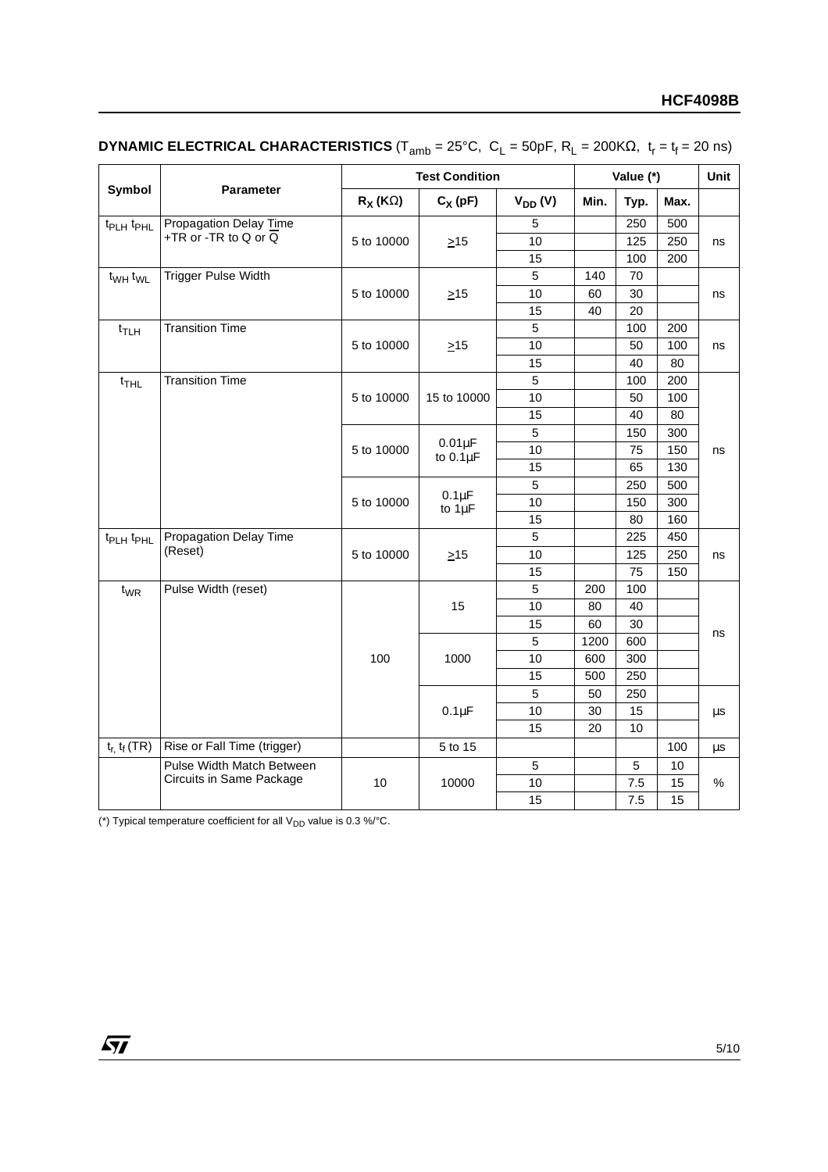|                                   |                                   |                | <b>Test Condition</b>         | Value (*)      | Unit |      |      |      |
|-----------------------------------|-----------------------------------|----------------|-------------------------------|----------------|------|------|------|------|
| Symbol                            | <b>Parameter</b>                  | $R_X(K\Omega)$ | $C_X(pF)$                     | $V_{DD} (V)$   | Min. | Typ. | Max. |      |
| t <sub>PLH</sub> t <sub>PHL</sub> | Propagation Delay Time            |                |                               | 5              |      | 250  | 500  |      |
|                                   | +TR or -TR to Q or $\overline{Q}$ | 5 to 10000     | $\geq 15$                     | 10             |      | 125  | 250  | ns   |
|                                   |                                   |                |                               | 15             |      | 100  | 200  |      |
| $t_{WH}$ $t_{WL}$                 | <b>Trigger Pulse Width</b>        |                |                               | 5              | 140  | 70   |      |      |
|                                   |                                   | 5 to 10000     | >15                           | 10             | 60   | 30   |      | ns   |
|                                   |                                   |                |                               | 15             | 40   | 20   |      |      |
| $t$ TLH                           | <b>Transition Time</b>            |                |                               | $\overline{5}$ |      | 100  | 200  |      |
|                                   |                                   | 5 to 10000     | $\geq 15$                     | 10             |      | 50   | 100  | ns   |
|                                   |                                   |                |                               | 15             |      | 40   | 80   |      |
| $t$ <sub>THL</sub>                | <b>Transition Time</b>            |                |                               | 5              |      | 100  | 200  |      |
|                                   |                                   | 5 to 10000     | 15 to 10000                   | 10             |      | 50   | 100  |      |
|                                   |                                   |                | 15                            |                | 40   | 80   |      |      |
|                                   |                                   |                |                               | 5              |      | 150  | 300  |      |
|                                   |                                   | 5 to 10000     | $0.01 \mu F$<br>to $0.1\mu$ F | 10             |      | 75   | 150  | ns   |
|                                   |                                   |                |                               | 15             |      | 65   | 130  |      |
|                                   |                                   |                |                               | 5              |      | 250  | 500  |      |
|                                   |                                   | 5 to 10000     | $0.1 \mu F$<br>to $1\mu$ F    | 10             |      | 150  | 300  |      |
|                                   |                                   |                |                               | 15             |      | 80   | 160  |      |
| t <sub>PLH</sub> t <sub>PHL</sub> | Propagation Delay Time            |                |                               | 5              |      | 225  | 450  |      |
|                                   | (Reset)                           | 5 to 10000     | >15                           | 10             |      | 125  | 250  | ns   |
|                                   |                                   |                |                               | 15             |      | 75   | 150  |      |
| $t_{WR}$                          | Pulse Width (reset)               |                |                               | 5              | 200  | 100  |      |      |
|                                   |                                   |                | 15                            | 10             | 80   | 40   |      |      |
|                                   |                                   |                |                               | 15             | 60   | 30   |      | ns   |
|                                   |                                   |                |                               | 5              | 1200 | 600  |      |      |
|                                   |                                   | 100            | 1000                          | 10             | 600  | 300  |      |      |
|                                   |                                   |                |                               | 15             | 500  | 250  |      |      |
|                                   |                                   |                |                               | 5              | 50   | 250  |      |      |
|                                   |                                   |                | $0.1 \mu F$                   | 10             | 30   | 15   |      | μs   |
|                                   |                                   |                |                               | 15             | 20   | 10   |      |      |
| $t_{r, t_{f}}$ (TR)               | Rise or Fall Time (trigger)       |                | 5 to 15                       |                |      |      | 100  | μs   |
|                                   | Pulse Width Match Between         |                |                               | 5              |      | 5    | 10   |      |
|                                   | <b>Circuits in Same Package</b>   | 10             | 10000                         | 10             |      | 7.5  | 15   | $\%$ |
|                                   |                                   |                |                               | 15             |      | 7.5  | 15   |      |

#### **DYNAMIC ELECTRICAL CHARACTERISTICS** (T<sub>amb</sub> = 25°C, C<sub>L</sub> = 50pF, R<sub>L</sub> = 200KΩ, t<sub>r</sub> = t<sub>f</sub> = 20 ns)

(\*) Typical temperature coefficient for all  $V_{DD}$  value is 0.3 %/°C.

 $\sqrt{M}$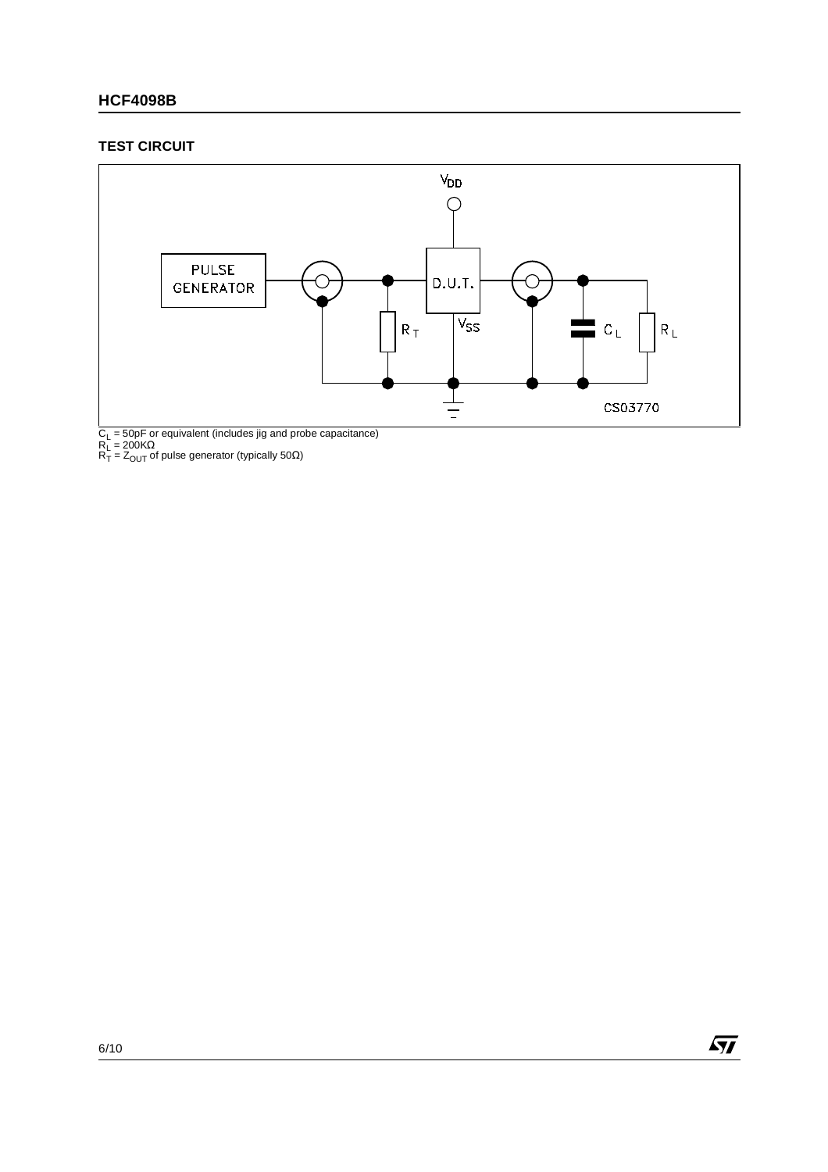### **HCF4098B**

#### **TEST CIRCUIT**



 $\sqrt{27}$ 

C<sub>L</sub> = 50pF or equivalent (includes jig and probe capacitance)<br>R<sub>L</sub> = 200KΩ<br>R<sub>T</sub> = Z<sub>OUT</sub> of pulse generator (typically 50Ω)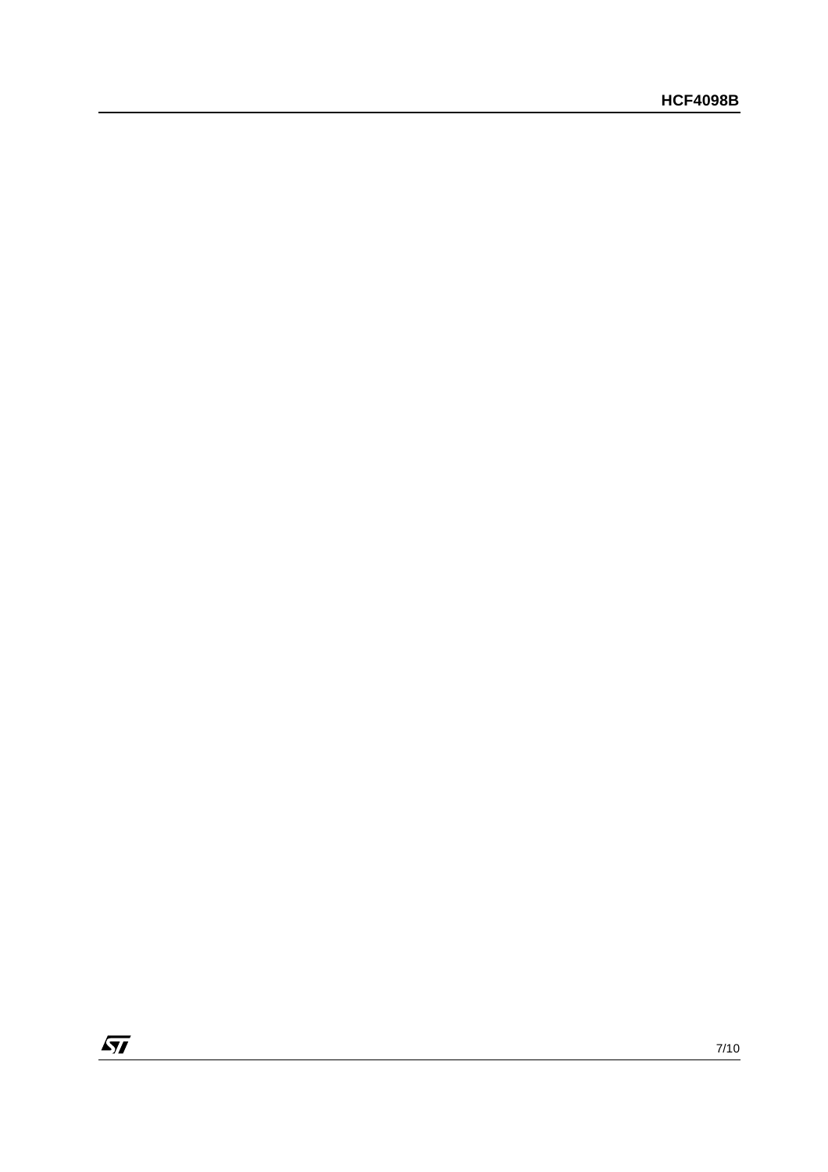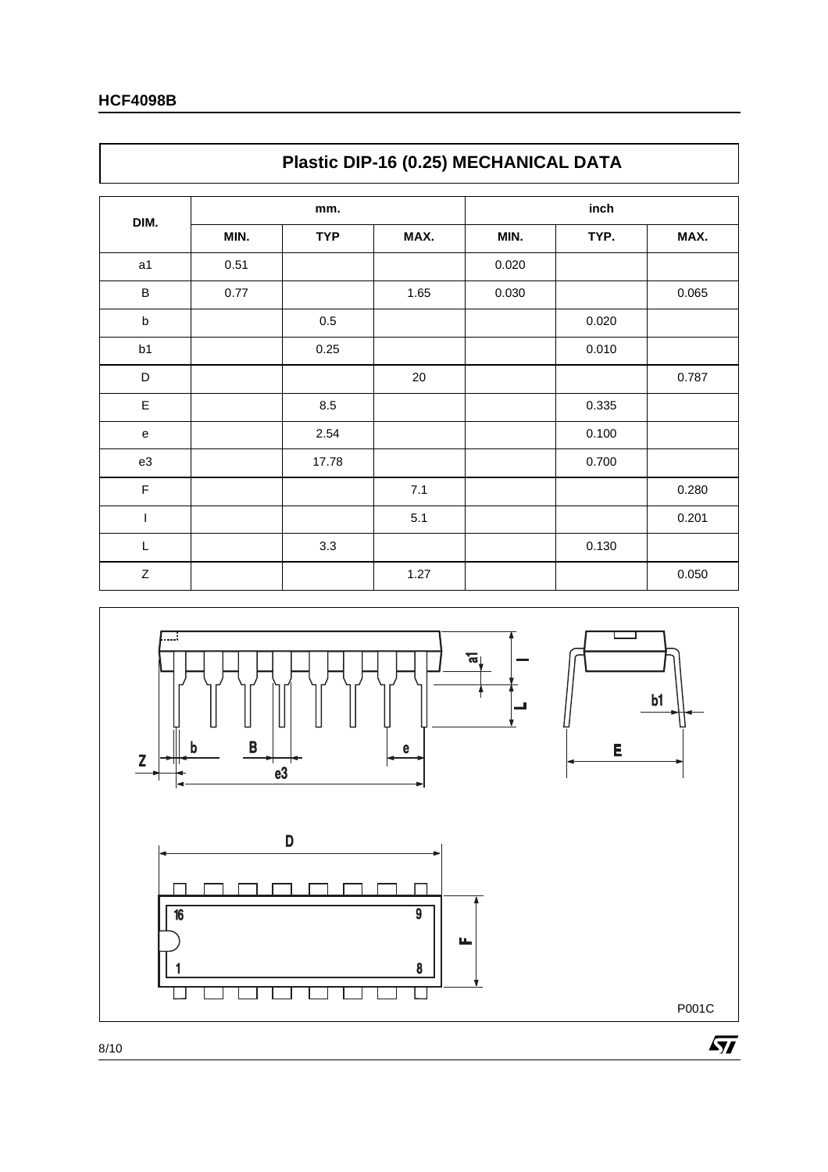$\Gamma$ 

|                | Plastic DIP-16 (0.25) MECHANICAL DATA |            |       |       |       |       |  |  |
|----------------|---------------------------------------|------------|-------|-------|-------|-------|--|--|
|                |                                       | mm.        |       |       |       |       |  |  |
| DIM.           | MIN.                                  | <b>TYP</b> | MAX.  | MIN.  | TYP.  | MAX.  |  |  |
| a <sub>1</sub> | 0.51                                  |            |       | 0.020 |       |       |  |  |
| B              | 0.77                                  |            | 1.65  | 0.030 |       | 0.065 |  |  |
| $\sf b$        |                                       | 0.5        |       |       | 0.020 |       |  |  |
| b <sub>1</sub> |                                       | 0.25       |       |       | 0.010 |       |  |  |
| D              |                                       |            | 20    |       |       | 0.787 |  |  |
| E              |                                       | 8.5        |       |       | 0.335 |       |  |  |
| e              |                                       | 2.54       |       |       | 0.100 |       |  |  |
| e3             |                                       | 17.78      |       |       | 0.700 |       |  |  |
| F              |                                       |            | $7.1$ |       |       | 0.280 |  |  |
| T              |                                       |            | 5.1   |       |       | 0.201 |  |  |
| L              |                                       | 3.3        |       |       | 0.130 |       |  |  |
| Z              |                                       |            | 1.27  |       |       | 0.050 |  |  |



٦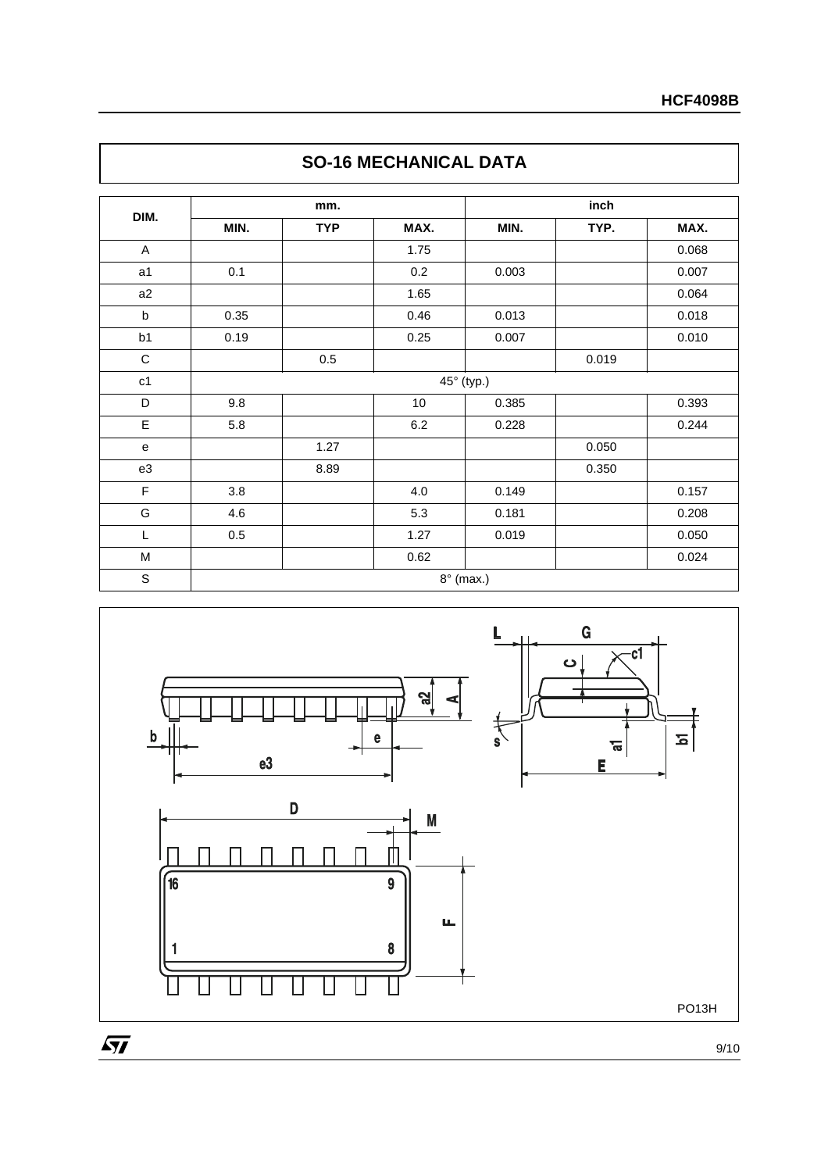|                |         | mm.        |         | inch       |       |       |  |  |  |
|----------------|---------|------------|---------|------------|-------|-------|--|--|--|
| DIM.           | MIN.    | <b>TYP</b> | MAX.    | MIN.       | TYP.  | MAX.  |  |  |  |
| $\mathsf A$    |         |            | 1.75    |            |       | 0.068 |  |  |  |
| a1             | 0.1     |            | 0.2     | 0.003      |       | 0.007 |  |  |  |
| a2             |         |            | 1.65    |            |       | 0.064 |  |  |  |
| b              | 0.35    |            | 0.46    | 0.013      |       | 0.018 |  |  |  |
| b <sub>1</sub> | 0.19    |            | 0.25    | 0.007      |       | 0.010 |  |  |  |
| $\mathsf C$    |         | 0.5        |         |            | 0.019 |       |  |  |  |
| c1             |         |            |         | 45° (typ.) |       |       |  |  |  |
| D              | 9.8     |            | $10\,$  | 0.385      |       | 0.393 |  |  |  |
| $\mathsf E$    | 5.8     |            | $6.2\,$ | 0.228      |       | 0.244 |  |  |  |
| ${\bf e}$      |         | 1.27       |         |            | 0.050 |       |  |  |  |
| e3             |         | 8.89       |         |            | 0.350 |       |  |  |  |
| $\mathsf F$    | 3.8     |            | 4.0     | 0.149      |       | 0.157 |  |  |  |
| G              | 4.6     |            | 5.3     | 0.181      |       | 0.208 |  |  |  |
| L              | $0.5\,$ |            | 1.27    | 0.019      |       | 0.050 |  |  |  |
| M              |         |            | 0.62    |            |       | 0.024 |  |  |  |